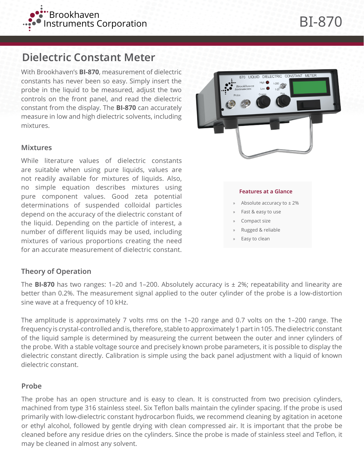

# **Dielectric Constant Meter**

With Brookhaven's **BI-870**, measurement of dielectric constants has never been so easy. Simply insert the probe in the liquid to be measured, adjust the two controls on the front panel, and read the dielectric constant from the display. The **BI-870** can accurately measure in low and high dielectric solvents, including mixtures.

## **Mixtures**

While literature values of dielectric constants are suitable when using pure liquids, values are not readily available for mixtures of liquids. Also, no simple equation describes mixtures using pure component values. Good zeta potential determinations of suspended colloidal particles depend on the accuracy of the dielectric constant of the liquid. Depending on the particle of interest, a number of different liquids may be used, including mixtures of various proportions creating the need for an accurate measurement of dielectric constant.



#### **Features at a Glance**

- » Absolute accuracy to ± 2%
- » Fast & easy to use
- Compact size
- » Rugged & reliable
- Easy to clean

### **Theory of Operation**

The **BI-870** has two ranges: 1–20 and 1–200. Absolutely accuracy is ± 2%; repeatability and linearity are better than 0.2%. The measurement signal applied to the outer cylinder of the probe is a low-distortion sine wave at a frequency of 10 kHz.

The amplitude is approximately 7 volts rms on the 1–20 range and 0.7 volts on the 1–200 range. The frequency is crystal-controlled and is, therefore, stable to approximately 1 part in 105. The dielectric constant of the liquid sample is determined by measureing the current between the outer and inner cylinders of the probe. With a stable voltage source and precisely known probe parameters, it is possible to display the dielectric constant directly. Calibration is simple using the back panel adjustment with a liquid of known dielectric constant.

#### **Probe**

The probe has an open structure and is easy to clean. It is constructed from two precision cylinders, machined from type 316 stainless steel. Six Teflon balls maintain the cylinder spacing. If the probe is used primarily with low-dielectric constant hydrocarbon fluids, we recommend cleaning by agitation in acetone or ethyl alcohol, followed by gentle drying with clean compressed air. It is important that the probe be cleaned before any residue dries on the cylinders. Since the probe is made of stainless steel and Teflon, it may be cleaned in almost any solvent.